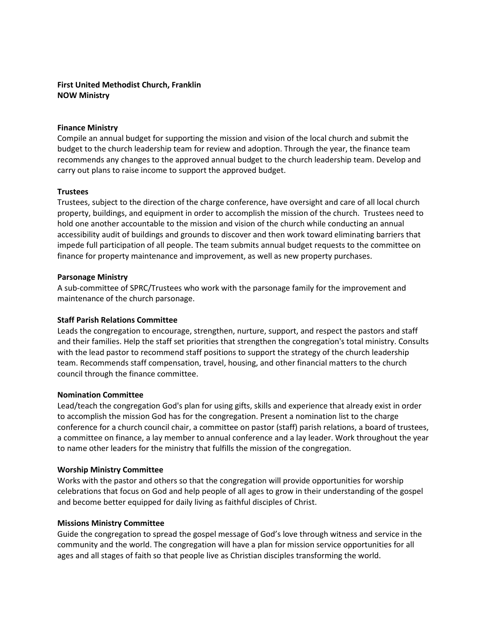# First United Methodist Church, Franklin NOW Ministry

### Finance Ministry

Compile an annual budget for supporting the mission and vision of the local church and submit the budget to the church leadership team for review and adoption. Through the year, the finance team recommends any changes to the approved annual budget to the church leadership team. Develop and carry out plans to raise income to support the approved budget.

### **Trustees**

Trustees, subject to the direction of the charge conference, have oversight and care of all local church property, buildings, and equipment in order to accomplish the mission of the church. Trustees need to hold one another accountable to the mission and vision of the church while conducting an annual accessibility audit of buildings and grounds to discover and then work toward eliminating barriers that impede full participation of all people. The team submits annual budget requests to the committee on finance for property maintenance and improvement, as well as new property purchases.

### Parsonage Ministry

A sub-committee of SPRC/Trustees who work with the parsonage family for the improvement and maintenance of the church parsonage.

## Staff Parish Relations Committee

Leads the congregation to encourage, strengthen, nurture, support, and respect the pastors and staff and their families. Help the staff set priorities that strengthen the congregation's total ministry. Consults with the lead pastor to recommend staff positions to support the strategy of the church leadership team. Recommends staff compensation, travel, housing, and other financial matters to the church council through the finance committee.

## Nomination Committee

Lead/teach the congregation God's plan for using gifts, skills and experience that already exist in order to accomplish the mission God has for the congregation. Present a nomination list to the charge conference for a church council chair, a committee on pastor (staff) parish relations, a board of trustees, a committee on finance, a lay member to annual conference and a lay leader. Work throughout the year to name other leaders for the ministry that fulfills the mission of the congregation.

## Worship Ministry Committee

Works with the pastor and others so that the congregation will provide opportunities for worship celebrations that focus on God and help people of all ages to grow in their understanding of the gospel and become better equipped for daily living as faithful disciples of Christ.

#### Missions Ministry Committee

Guide the congregation to spread the gospel message of God's love through witness and service in the community and the world. The congregation will have a plan for mission service opportunities for all ages and all stages of faith so that people live as Christian disciples transforming the world.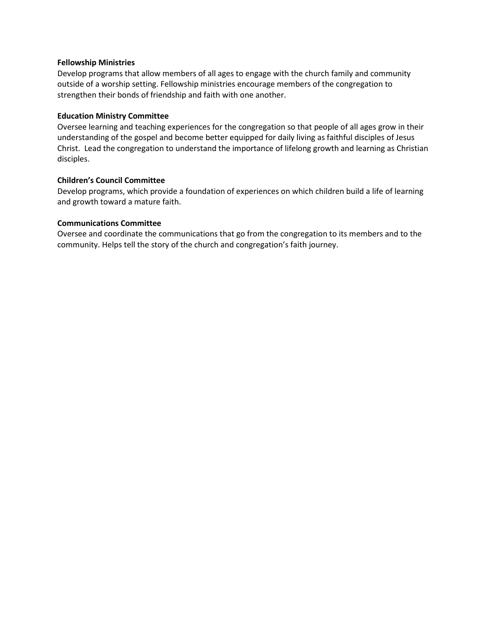### Fellowship Ministries

Develop programs that allow members of all ages to engage with the church family and community outside of a worship setting. Fellowship ministries encourage members of the congregation to strengthen their bonds of friendship and faith with one another.

### Education Ministry Committee

Oversee learning and teaching experiences for the congregation so that people of all ages grow in their understanding of the gospel and become better equipped for daily living as faithful disciples of Jesus Christ. Lead the congregation to understand the importance of lifelong growth and learning as Christian disciples.

### Children's Council Committee

Develop programs, which provide a foundation of experiences on which children build a life of learning and growth toward a mature faith.

### Communications Committee

Oversee and coordinate the communications that go from the congregation to its members and to the community. Helps tell the story of the church and congregation's faith journey.